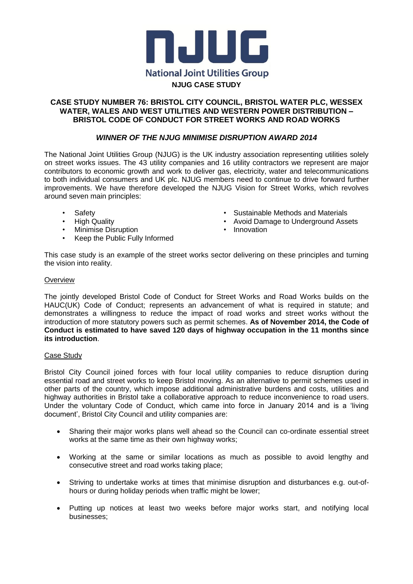

### **CASE STUDY NUMBER 76: BRISTOL CITY COUNCIL, BRISTOL WATER PLC, WESSEX WATER, WALES AND WEST UTILITIES AND WESTERN POWER DISTRIBUTION – BRISTOL CODE OF CONDUCT FOR STREET WORKS AND ROAD WORKS**

## *WINNER OF THE NJUG MINIMISE DISRUPTION AWARD 2014*

The National Joint Utilities Group (NJUG) is the UK industry association representing utilities solely on street works issues. The 43 utility companies and 16 utility contractors we represent are major contributors to economic growth and work to deliver gas, electricity, water and telecommunications to both individual consumers and UK plc. NJUG members need to continue to drive forward further improvements. We have therefore developed the NJUG Vision for Street Works, which revolves around seven main principles:

- Safety
- High Quality
- Minimise Disruption
- Keep the Public Fully Informed
- Sustainable Methods and Materials
- Avoid Damage to Underground Assets
- Innovation

This case study is an example of the street works sector delivering on these principles and turning the vision into reality.

#### **Overview**

The jointly developed Bristol Code of Conduct for Street Works and Road Works builds on the HAUC(UK) Code of Conduct; represents an advancement of what is required in statute; and demonstrates a willingness to reduce the impact of road works and street works without the introduction of more statutory powers such as permit schemes. **As of November 2014, the Code of Conduct is estimated to have saved 120 days of highway occupation in the 11 months since its introduction**.

#### Case Study

Bristol City Council joined forces with four local utility companies to reduce disruption during essential road and street works to keep Bristol moving. As an alternative to permit schemes used in other parts of the country, which impose additional administrative burdens and costs, utilities and highway authorities in Bristol take a collaborative approach to reduce inconvenience to road users. Under the voluntary Code of Conduct, which came into force in January 2014 and is a 'living document', Bristol City Council and utility companies are:

- Sharing their major works plans well ahead so the Council can co-ordinate essential street works at the same time as their own highway works;
- Working at the same or similar locations as much as possible to avoid lengthy and consecutive street and road works taking place;
- Striving to undertake works at times that minimise disruption and disturbances e.g. out-ofhours or during holiday periods when traffic might be lower;
- Putting up notices at least two weeks before major works start, and notifying local businesses;